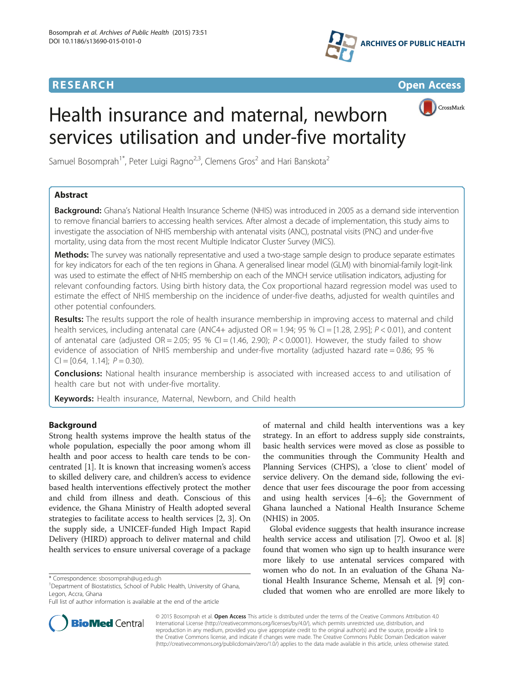



CrossMark

# Health insurance and maternal, newborn services utilisation and under-five mortality

Samuel Bosomprah<sup>1\*</sup>, Peter Luigi Ragno<sup>2,3</sup>, Clemens Gros<sup>2</sup> and Hari Banskota<sup>2</sup>

### Abstract

Background: Ghana's National Health Insurance Scheme (NHIS) was introduced in 2005 as a demand side intervention to remove financial barriers to accessing health services. After almost a decade of implementation, this study aims to investigate the association of NHIS membership with antenatal visits (ANC), postnatal visits (PNC) and under-five mortality, using data from the most recent Multiple Indicator Cluster Survey (MICS).

Methods: The survey was nationally representative and used a two-stage sample design to produce separate estimates for key indicators for each of the ten regions in Ghana. A generalised linear model (GLM) with binomial-family logit-link was used to estimate the effect of NHIS membership on each of the MNCH service utilisation indicators, adjusting for relevant confounding factors. Using birth history data, the Cox proportional hazard regression model was used to estimate the effect of NHIS membership on the incidence of under-five deaths, adjusted for wealth quintiles and other potential confounders.

Results: The results support the role of health insurance membership in improving access to maternal and child health services, including antenatal care (ANC4+ adjusted  $OR = 1.94$ ; 95 % CI = [1.28, 2.95];  $P < 0.01$ ), and content of antenatal care (adjusted OR = 2.05; 95 % CI = (1.46, 2.90);  $P < 0.0001$ ). However, the study failed to show evidence of association of NHIS membership and under-five mortality (adjusted hazard rate = 0.86; 95 %  $Cl = [0.64, 1.14]$ ;  $P = 0.30$ ).

**Conclusions:** National health insurance membership is associated with increased access to and utilisation of health care but not with under-five mortality.

Keywords: Health insurance, Maternal, Newborn, and Child health

#### Background

Strong health systems improve the health status of the whole population, especially the poor among whom ill health and poor access to health care tends to be concentrated [\[1](#page-6-0)]. It is known that increasing women's access to skilled delivery care, and children's access to evidence based health interventions effectively protect the mother and child from illness and death. Conscious of this evidence, the Ghana Ministry of Health adopted several strategies to facilitate access to health services [[2, 3\]](#page-6-0). On the supply side, a UNICEF-funded High Impact Rapid Delivery (HIRD) approach to deliver maternal and child health services to ensure universal coverage of a package

of maternal and child health interventions was a key strategy. In an effort to address supply side constraints, basic health services were moved as close as possible to the communities through the Community Health and Planning Services (CHPS), a 'close to client' model of service delivery. On the demand side, following the evidence that user fees discourage the poor from accessing and using health services [[4](#page-6-0)–[6](#page-6-0)]; the Government of Ghana launched a National Health Insurance Scheme (NHIS) in 2005.

Global evidence suggests that health insurance increase health service access and utilisation [\[7\]](#page-6-0). Owoo et al. [[8](#page-6-0)] found that women who sign up to health insurance were more likely to use antenatal services compared with women who do not. In an evaluation of the Ghana National Health Insurance Scheme, Mensah et al. [\[9](#page-6-0)] concluded that women who are enrolled are more likely to



© 2015 Bosomprah et al. Open Access This article is distributed under the terms of the Creative Commons Attribution 4.0 International License [\(http://creativecommons.org/licenses/by/4.0/](http://creativecommons.org/licenses/by/4.0/)), which permits unrestricted use, distribution, and reproduction in any medium, provided you give appropriate credit to the original author(s) and the source, provide a link to the Creative Commons license, and indicate if changes were made. The Creative Commons Public Domain Dedication waiver [\(http://creativecommons.org/publicdomain/zero/1.0/](http://creativecommons.org/publicdomain/zero/1.0/)) applies to the data made available in this article, unless otherwise stated.

<sup>\*</sup> Correspondence: [sbosomprah@ug.edu.gh](mailto:sbosomprah@ug.edu.gh) <sup>1</sup>

<sup>&</sup>lt;sup>1</sup>Department of Biostatistics, School of Public Health, University of Ghana, Legon, Accra, Ghana

Full list of author information is available at the end of the article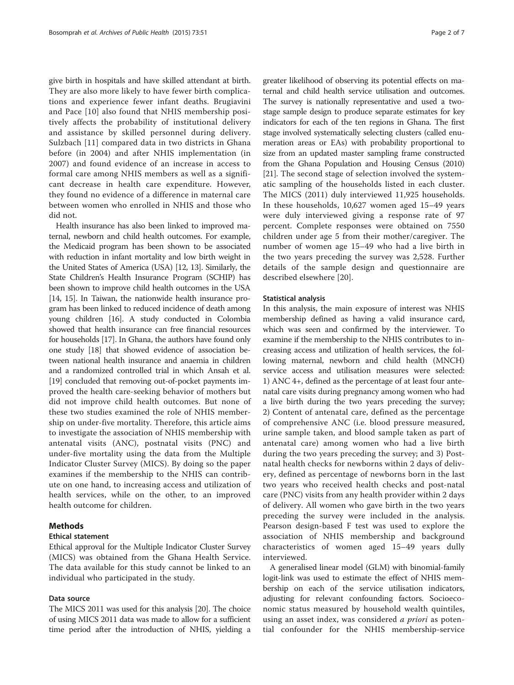give birth in hospitals and have skilled attendant at birth. They are also more likely to have fewer birth complications and experience fewer infant deaths. Brugiavini and Pace [[10\]](#page-6-0) also found that NHIS membership positively affects the probability of institutional delivery and assistance by skilled personnel during delivery. Sulzbach [[11](#page-6-0)] compared data in two districts in Ghana before (in 2004) and after NHIS implementation (in 2007) and found evidence of an increase in access to formal care among NHIS members as well as a significant decrease in health care expenditure. However, they found no evidence of a difference in maternal care between women who enrolled in NHIS and those who did not.

Health insurance has also been linked to improved maternal, newborn and child health outcomes. For example, the Medicaid program has been shown to be associated with reduction in infant mortality and low birth weight in the United States of America (USA) [\[12, 13](#page-6-0)]. Similarly, the State Children's Health Insurance Program (SCHIP) has been shown to improve child health outcomes in the USA [[14](#page-6-0), [15\]](#page-6-0). In Taiwan, the nationwide health insurance program has been linked to reduced incidence of death among young children [\[16](#page-6-0)]. A study conducted in Colombia showed that health insurance can free financial resources for households [[17](#page-6-0)]. In Ghana, the authors have found only one study [\[18\]](#page-6-0) that showed evidence of association between national health insurance and anaemia in children and a randomized controlled trial in which Ansah et al. [[19](#page-6-0)] concluded that removing out-of-pocket payments improved the health care-seeking behavior of mothers but did not improve child health outcomes. But none of these two studies examined the role of NHIS membership on under-five mortality. Therefore, this article aims to investigate the association of NHIS membership with antenatal visits (ANC), postnatal visits (PNC) and under-five mortality using the data from the Multiple Indicator Cluster Survey (MICS). By doing so the paper examines if the membership to the NHIS can contribute on one hand, to increasing access and utilization of health services, while on the other, to an improved health outcome for children.

#### Methods

#### Ethical statement

Ethical approval for the Multiple Indicator Cluster Survey (MICS) was obtained from the Ghana Health Service. The data available for this study cannot be linked to an individual who participated in the study.

#### Data source

The MICS 2011 was used for this analysis [\[20\]](#page-6-0). The choice of using MICS 2011 data was made to allow for a sufficient time period after the introduction of NHIS, yielding a

greater likelihood of observing its potential effects on maternal and child health service utilisation and outcomes. The survey is nationally representative and used a twostage sample design to produce separate estimates for key indicators for each of the ten regions in Ghana. The first stage involved systematically selecting clusters (called enumeration areas or EAs) with probability proportional to size from an updated master sampling frame constructed from the Ghana Population and Housing Census (2010) [[21](#page-6-0)]. The second stage of selection involved the systematic sampling of the households listed in each cluster. The MICS (2011) duly interviewed 11,925 households. In these households, 10,627 women aged 15–49 years were duly interviewed giving a response rate of 97 percent. Complete responses were obtained on 7550 children under age 5 from their mother/caregiver. The number of women age 15–49 who had a live birth in the two years preceding the survey was 2,528. Further details of the sample design and questionnaire are described elsewhere [[20](#page-6-0)].

#### Statistical analysis

In this analysis, the main exposure of interest was NHIS membership defined as having a valid insurance card, which was seen and confirmed by the interviewer. To examine if the membership to the NHIS contributes to increasing access and utilization of health services, the following maternal, newborn and child health (MNCH) service access and utilisation measures were selected: 1) ANC 4+, defined as the percentage of at least four antenatal care visits during pregnancy among women who had a live birth during the two years preceding the survey; 2) Content of antenatal care, defined as the percentage of comprehensive ANC (i.e. blood pressure measured, urine sample taken, and blood sample taken as part of antenatal care) among women who had a live birth during the two years preceding the survey; and 3) Postnatal health checks for newborns within 2 days of delivery, defined as percentage of newborns born in the last two years who received health checks and post-natal care (PNC) visits from any health provider within 2 days of delivery. All women who gave birth in the two years preceding the survey were included in the analysis. Pearson design-based F test was used to explore the association of NHIS membership and background characteristics of women aged 15–49 years dully interviewed.

A generalised linear model (GLM) with binomial-family logit-link was used to estimate the effect of NHIS membership on each of the service utilisation indicators, adjusting for relevant confounding factors. Socioeconomic status measured by household wealth quintiles, using an asset index, was considered *a priori* as potential confounder for the NHIS membership-service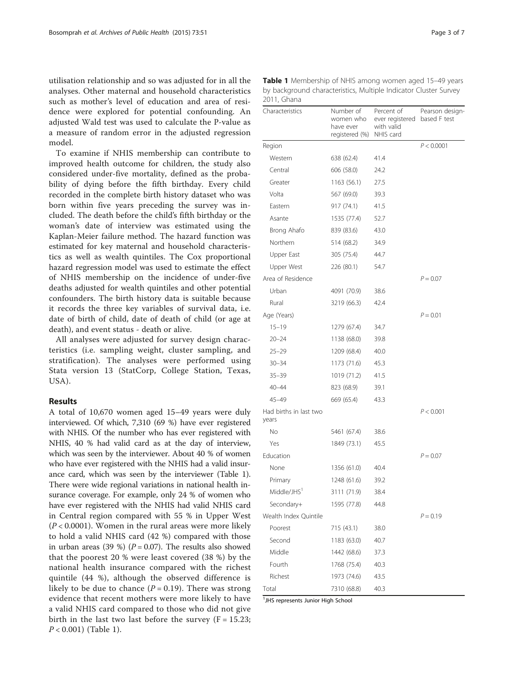utilisation relationship and so was adjusted for in all the analyses. Other maternal and household characteristics such as mother's level of education and area of residence were explored for potential confounding. An adjusted Wald test was used to calculate the P-value as a measure of random error in the adjusted regression model.

To examine if NHIS membership can contribute to improved health outcome for children, the study also considered under-five mortality, defined as the probability of dying before the fifth birthday. Every child recorded in the complete birth history dataset who was born within five years preceding the survey was included. The death before the child's fifth birthday or the woman's date of interview was estimated using the Kaplan-Meier failure method. The hazard function was estimated for key maternal and household characteristics as well as wealth quintiles. The Cox proportional hazard regression model was used to estimate the effect of NHIS membership on the incidence of under-five deaths adjusted for wealth quintiles and other potential confounders. The birth history data is suitable because it records the three key variables of survival data, i.e. date of birth of child, date of death of child (or age at death), and event status - death or alive.

All analyses were adjusted for survey design characteristics (i.e. sampling weight, cluster sampling, and stratification). The analyses were performed using Stata version 13 (StatCorp, College Station, Texas, USA).

#### Results

A total of 10,670 women aged 15–49 years were duly interviewed. Of which, 7,310 (69 %) have ever registered with NHIS. Of the number who has ever registered with NHIS, 40 % had valid card as at the day of interview, which was seen by the interviewer. About 40 % of women who have ever registered with the NHIS had a valid insurance card, which was seen by the interviewer (Table 1). There were wide regional variations in national health insurance coverage. For example, only 24 % of women who have ever registered with the NHIS had valid NHIS card in Central region compared with 55 % in Upper West  $(P<0.0001)$ . Women in the rural areas were more likely to hold a valid NHIS card (42 %) compared with those in urban areas (39 %) ( $P = 0.07$ ). The results also showed that the poorest 20 % were least covered (38 %) by the national health insurance compared with the richest quintile (44 %), although the observed difference is likely to be due to chance  $(P = 0.19)$ . There was strong evidence that recent mothers were more likely to have a valid NHIS card compared to those who did not give birth in the last two last before the survey  $(F = 15.23;$  $P < 0.001$ ) (Table 1).

| Characteristics                 | Number of<br>women who<br>have ever<br>registered (%) | Percent of<br>ever registered based F test<br>with valid<br>NHIS card | Pearson design- |
|---------------------------------|-------------------------------------------------------|-----------------------------------------------------------------------|-----------------|
| Region                          |                                                       |                                                                       | P < 0.0001      |
| Western                         | 638 (62.4)                                            | 41.4                                                                  |                 |
| Central                         | 606 (58.0)                                            | 24.2                                                                  |                 |
| Greater                         | 1163 (56.1)                                           | 27.5                                                                  |                 |
| Volta                           | 567 (69.0)                                            | 39.3                                                                  |                 |
| Eastern                         | 917 (74.1)                                            | 41.5                                                                  |                 |
| Asante                          | 1535 (77.4)                                           | 52.7                                                                  |                 |
| Brong Ahafo                     | 839 (83.6)                                            | 43.0                                                                  |                 |
| Northern                        | 514 (68.2)                                            | 34.9                                                                  |                 |
| Upper East                      | 305 (75.4)                                            | 44.7                                                                  |                 |
| Upper West                      | 226 (80.1)                                            | 54.7                                                                  |                 |
| Area of Residence               |                                                       |                                                                       | $P = 0.07$      |
| Urban                           | 4091 (70.9)                                           | 38.6                                                                  |                 |
| Rural                           | 3219 (66.3)                                           | 42.4                                                                  |                 |
| Age (Years)                     |                                                       |                                                                       | $P = 0.01$      |
| $15 - 19$                       | 1279 (67.4)                                           | 34.7                                                                  |                 |
| $20 - 24$                       | 1138 (68.0)                                           | 39.8                                                                  |                 |
| $25 - 29$                       | 1209 (68.4)                                           | 40.0                                                                  |                 |
| $30 - 34$                       | 1173 (71.6)                                           | 45.3                                                                  |                 |
| $35 - 39$                       | 1019 (71.2)                                           | 41.5                                                                  |                 |
| $40 - 44$                       | 823 (68.9)                                            | 39.1                                                                  |                 |
| $45 - 49$                       | 669 (65.4)                                            | 43.3                                                                  |                 |
| Had births in last two<br>years |                                                       |                                                                       | P < 0.001       |
| No                              | 5461 (67.4)                                           | 38.6                                                                  |                 |
| Yes                             | 1849 (73.1)                                           | 45.5                                                                  |                 |
| Education                       |                                                       |                                                                       | $P = 0.07$      |
| None                            | 1356 (61.0)                                           | 40.4                                                                  |                 |
| Primary                         | 1248 (61.6)                                           | 39.2                                                                  |                 |
| Middle/JHS <sup>1</sup>         | 3111 (71.9)                                           | 38.4                                                                  |                 |
| Secondary+                      | 1595 (77.8)                                           | 44.8                                                                  |                 |
| Wealth Index Quintile           |                                                       |                                                                       | $P = 0.19$      |
| Poorest                         | 715 (43.1)                                            | 38.0                                                                  |                 |
| Second                          | 1183 (63.0)                                           | 40.7                                                                  |                 |
| Middle                          | 1442 (68.6)                                           | 37.3                                                                  |                 |
| Fourth                          | 1768 (75.4)                                           | 40.3                                                                  |                 |
| Richest                         | 1973 (74.6)                                           | 43.5                                                                  |                 |
| Total                           | 7310 (68.8)                                           | 40.3                                                                  |                 |

Table 1 Membership of NHIS among women aged 15-49 years by background characteristics, Multiple Indicator Cluster Survey 2011, Ghana

<sup>1</sup>JHS represents Junior High School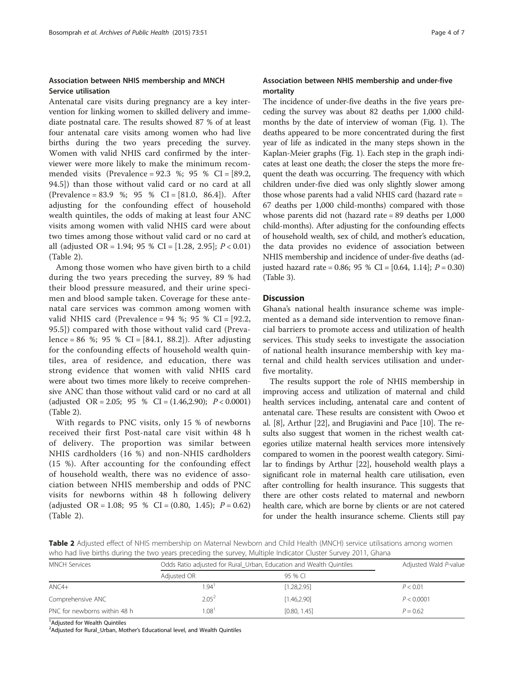#### Association between NHIS membership and MNCH Service utilisation

Antenatal care visits during pregnancy are a key intervention for linking women to skilled delivery and immediate postnatal care. The results showed 87 % of at least four antenatal care visits among women who had live births during the two years preceding the survey. Women with valid NHIS card confirmed by the interviewer were more likely to make the minimum recommended visits (Prevalence = 92.3 %; 95 % CI = [89.2, 94.5]) than those without valid card or no card at all (Prevalence = 83.9 %; 95 % CI = [81.0, 86.4]). After adjusting for the confounding effect of household wealth quintiles, the odds of making at least four ANC visits among women with valid NHIS card were about two times among those without valid card or no card at all (adjusted OR = 1.94; 95 % CI = [1.28, 2.95];  $P < 0.01$ ) (Table 2).

Among those women who have given birth to a child during the two years preceding the survey, 89 % had their blood pressure measured, and their urine specimen and blood sample taken. Coverage for these antenatal care services was common among women with valid NHIS card (Prevalence =  $94$  %;  $95$  % CI =  $[92.2, 9.2]$ 95.5]) compared with those without valid card (Prevalence = 86 %; 95 % CI =  $[84.1, 88.2]$ ). After adjusting for the confounding effects of household wealth quintiles, area of residence, and education, there was strong evidence that women with valid NHIS card were about two times more likely to receive comprehensive ANC than those without valid card or no card at all (adjusted OR = 2.05; 95 % CI =  $(1.46, 2.90)$ ;  $P < 0.0001$ ) (Table 2).

With regards to PNC visits, only 15 % of newborns received their first Post-natal care visit within 48 h of delivery. The proportion was similar between NHIS cardholders (16 %) and non-NHIS cardholders (15 %). After accounting for the confounding effect of household wealth, there was no evidence of association between NHIS membership and odds of PNC visits for newborns within 48 h following delivery (adjusted OR = 1.08; 95 % CI =  $(0.80, 1.45)$ ;  $P = 0.62$ ) (Table 2).

#### Association between NHIS membership and under-five mortality

The incidence of under-five deaths in the five years preceding the survey was about 82 deaths per 1,000 childmonths by the date of interview of woman (Fig. [1\)](#page-4-0). The deaths appeared to be more concentrated during the first year of life as indicated in the many steps shown in the Kaplan-Meier graphs (Fig. [1\)](#page-4-0). Each step in the graph indicates at least one death; the closer the steps the more frequent the death was occurring. The frequency with which children under-five died was only slightly slower among those whose parents had a valid NHIS card (hazard rate = 67 deaths per 1,000 child-months) compared with those whose parents did not (hazard rate = 89 deaths per 1,000 child-months). After adjusting for the confounding effects of household wealth, sex of child, and mother's education, the data provides no evidence of association between NHIS membership and incidence of under-five deaths (adjusted hazard rate = 0.86; 95 % CI =  $[0.64, 1.14]$ ;  $P = 0.30$ ) (Table [3](#page-5-0)).

#### **Discussion**

Ghana's national health insurance scheme was implemented as a demand side intervention to remove financial barriers to promote access and utilization of health services. This study seeks to investigate the association of national health insurance membership with key maternal and child health services utilisation and underfive mortality.

The results support the role of NHIS membership in improving access and utilization of maternal and child health services including, antenatal care and content of antenatal care. These results are consistent with Owoo et al. [\[8\]](#page-6-0), Arthur [\[22\]](#page-6-0), and Brugiavini and Pace [[10](#page-6-0)]. The results also suggest that women in the richest wealth categories utilize maternal health services more intensively compared to women in the poorest wealth category. Similar to findings by Arthur [[22](#page-6-0)], household wealth plays a significant role in maternal health care utilisation, even after controlling for health insurance. This suggests that there are other costs related to maternal and newborn health care, which are borne by clients or are not catered for under the health insurance scheme. Clients still pay

Table 2 Adjusted effect of NHIS membership on Maternal Newborn and Child Health (MNCH) service utilisations among women who had live births during the two years preceding the survey, Multiple Indicator Cluster Survey 2011, Ghana

| <b>MNCH Services</b>         | Odds Ratio adjusted for Rural_Urban, Education and Wealth Quintiles | Adjusted Wald P-value |            |
|------------------------------|---------------------------------------------------------------------|-----------------------|------------|
|                              | Adjusted OR                                                         | 95 % CL               |            |
| $ANCA+$                      | 1.94'                                                               | [1.28, 2.95]          | P < 0.01   |
| Comprehensive ANC            | $2.05^2$                                                            | [1.46.2.90]           | P < 0.0001 |
| PNC for newborns within 48 h | 1.08                                                                | [0.80, 1.45]          | $P = 0.62$ |

<sup>1</sup> Adjusted for Wealth Quintiles

<sup>2</sup> Adjusted for Rural\_Urban, Mother's Educational level, and Wealth Quintiles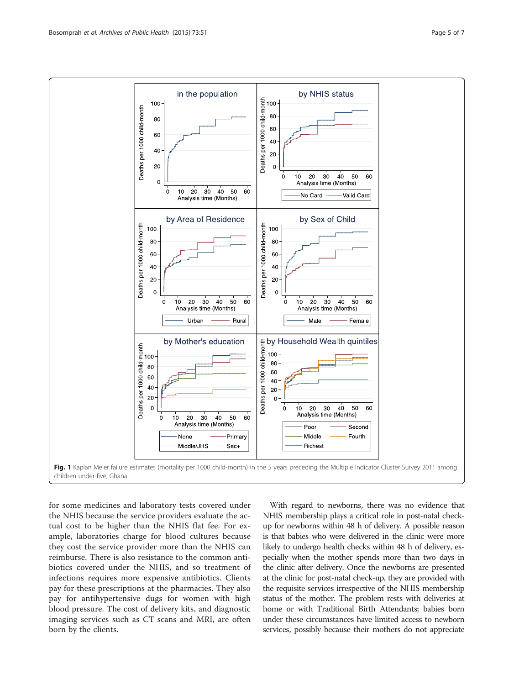<span id="page-4-0"></span>

for some medicines and laboratory tests covered under the NHIS because the service providers evaluate the actual cost to be higher than the NHIS flat fee. For example, laboratories charge for blood cultures because they cost the service provider more than the NHIS can reimburse. There is also resistance to the common antibiotics covered under the NHIS, and so treatment of infections requires more expensive antibiotics. Clients pay for these prescriptions at the pharmacies. They also pay for antihypertensive dugs for women with high blood pressure. The cost of delivery kits, and diagnostic imaging services such as CT scans and MRI, are often born by the clients.

With regard to newborns, there was no evidence that NHIS membership plays a critical role in post-natal checkup for newborns within 48 h of delivery. A possible reason is that babies who were delivered in the clinic were more likely to undergo health checks within 48 h of delivery, especially when the mother spends more than two days in the clinic after delivery. Once the newborns are presented at the clinic for post-natal check-up, they are provided with the requisite services irrespective of the NHIS membership status of the mother. The problem rests with deliveries at home or with Traditional Birth Attendants; babies born under these circumstances have limited access to newborn services, possibly because their mothers do not appreciate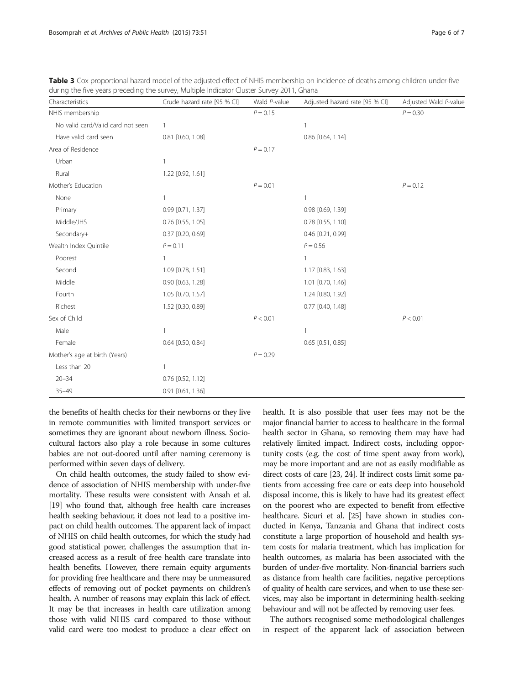| Characteristics                   | Crude hazard rate [95 % CI] | Wald P-value | Adjusted hazard rate [95 % CI] | Adjusted Wald P-value |
|-----------------------------------|-----------------------------|--------------|--------------------------------|-----------------------|
| NHIS membership                   |                             | $P = 0.15$   |                                | $P = 0.30$            |
| No valid card/Valid card not seen | 1                           |              |                                |                       |
| Have valid card seen              | 0.81 [0.60, 1.08]           |              | 0.86 [0.64, 1.14]              |                       |
| Area of Residence                 |                             | $P = 0.17$   |                                |                       |
| Urban                             | 1                           |              |                                |                       |
| Rural                             | 1.22 [0.92, 1.61]           |              |                                |                       |
| Mother's Education                |                             | $P = 0.01$   |                                | $P = 0.12$            |
| None                              | 1                           |              | 1                              |                       |
| Primary                           | 0.99 [0.71, 1.37]           |              | 0.98 [0.69, 1.39]              |                       |
| Middle/JHS                        | $0.76$ [0.55, 1.05]         |              | $0.78$ [0.55, 1.10]            |                       |
| Secondary+                        | $0.37$ $[0.20, 0.69]$       |              | 0.46 [0.21, 0.99]              |                       |
| Wealth Index Quintile             | $P = 0.11$                  |              | $P = 0.56$                     |                       |
| Poorest                           | 1                           |              | 1                              |                       |
| Second                            | 1.09 [0.78, 1.51]           |              | 1.17 [0.83, 1.63]              |                       |
| Middle                            | $0.90$ $[0.63, 1.28]$       |              | 1.01 [0.70, 1.46]              |                       |
| Fourth                            | 1.05 [0.70, 1.57]           |              | 1.24 [0.80, 1.92]              |                       |
| Richest                           | 1.52 [0.30, 0.89]           |              | 0.77 [0.40, 1.48]              |                       |
| Sex of Child                      |                             | P < 0.01     |                                | P < 0.01              |
| Male                              | 1                           |              | 1                              |                       |
| Female                            | 0.64 [0.50, 0.84]           |              | $0.65$ [0.51, 0.85]            |                       |
| Mother's age at birth (Years)     |                             | $P = 0.29$   |                                |                       |
| Less than 20                      |                             |              |                                |                       |
| $20 - 34$                         | 0.76 [0.52, 1.12]           |              |                                |                       |
| $35 - 49$                         | 0.91 [0.61, 1.36]           |              |                                |                       |

<span id="page-5-0"></span>Table 3 Cox proportional hazard model of the adjusted effect of NHIS membership on incidence of deaths among children under-five during the five years preceding the survey, Multiple Indicator Cluster Survey 2011, Ghana

the benefits of health checks for their newborns or they live in remote communities with limited transport services or sometimes they are ignorant about newborn illness. Sociocultural factors also play a role because in some cultures babies are not out-doored until after naming ceremony is performed within seven days of delivery.

On child health outcomes, the study failed to show evidence of association of NHIS membership with under-five mortality. These results were consistent with Ansah et al. [[19](#page-6-0)] who found that, although free health care increases health seeking behaviour, it does not lead to a positive impact on child health outcomes. The apparent lack of impact of NHIS on child health outcomes, for which the study had good statistical power, challenges the assumption that increased access as a result of free health care translate into health benefits. However, there remain equity arguments for providing free healthcare and there may be unmeasured effects of removing out of pocket payments on children's health. A number of reasons may explain this lack of effect. It may be that increases in health care utilization among those with valid NHIS card compared to those without valid card were too modest to produce a clear effect on health. It is also possible that user fees may not be the major financial barrier to access to healthcare in the formal health sector in Ghana, so removing them may have had relatively limited impact. Indirect costs, including opportunity costs (e.g. the cost of time spent away from work), may be more important and are not as easily modifiable as direct costs of care [\[23, 24\]](#page-6-0). If indirect costs limit some patients from accessing free care or eats deep into household disposal income, this is likely to have had its greatest effect on the poorest who are expected to benefit from effective healthcare. Sicuri et al. [[25](#page-6-0)] have shown in studies conducted in Kenya, Tanzania and Ghana that indirect costs constitute a large proportion of household and health system costs for malaria treatment, which has implication for health outcomes, as malaria has been associated with the burden of under-five mortality. Non-financial barriers such as distance from health care facilities, negative perceptions of quality of health care services, and when to use these services, may also be important in determining health-seeking behaviour and will not be affected by removing user fees.

The authors recognised some methodological challenges in respect of the apparent lack of association between